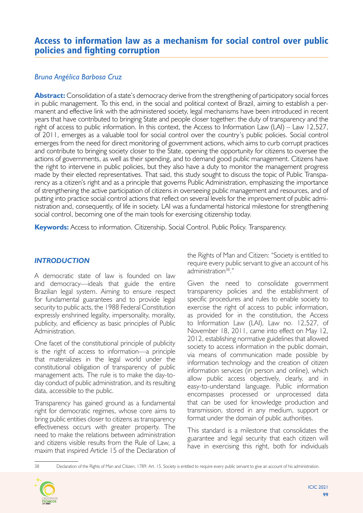# Access to information law as a mechanism for social control over public policies and fighting corruption

# *Bruna Angélica Barbosa Cruz*

**Abstract:** Consolidation of a state's democracy derive from the strengthening of participatory social forces in public management. To this end, in the social and political context of Brazil, aiming to establish a permanent and effective link with the administered society, legal mechanisms have been introduced in recent years that have contributed to bringing State and people closer together: the duty of transparency and the right of access to public information. In this context, the Access to Information Law (LAI) – Law 12,527, of 2011, emerges as a valuable tool for social control over the country's public policies. Social control emerges from the need for direct monitoring of government actions, which aims to curb corrupt practices and contribute to bringing society closer to the State, opening the opportunity for citizens to oversee the actions of governments, as well as their spending, and to demand good public management. Citizens have the right to intervene in public policies, but they also have a duty to monitor the management progress made by their elected representatives. That said, this study sought to discuss the topic of Public Transparency as a citizen's right and as a principle that governs Public Administration, emphasizing the importance of strengthening the active participation of citizens in overseeing public management and resources, and of putting into practice social control actions that reflect on several levels for the improvement of public administration and, consequently, of life in society. LAI was a fundamental historical milestone for strengthening social control, becoming one of the main tools for exercising citizenship today.

**Keywords:** Access to information. Citizenship. Social Control. Public Policy. Transparency.

### *INTRODUCTION*

A democratic state of law is founded on law and democracy—ideals that guide the entire Brazilian legal system. Aiming to ensure respect for fundamental guarantees and to provide legal security to public acts, the 1988 Federal Constitution expressly enshrined legality, impersonality, morality, publicity, and efficiency as basic principles of Public Administration.

One facet of the constitutional principle of publicity is the right of access to information—a principle that materializes in the legal world under the constitutional obligation of transparency of public management acts. The rule is to make the day-today conduct of public administration, and its resulting data, accessible to the public.

Transparency has gained ground as a fundamental right for democratic regimes, whose core aims to bring public entities closer to citizens as transparency effectiveness occurs with greater property. The need to make the relations between administration and citizens visible results from the Rule of Law, a maxim that inspired Article 15 of the Declaration of

the Rights of Man and Citizen: "Society is entitled to require every public servant to give an account of his administration<sup>38</sup>."

Given the need to consolidate government transparency policies and the establishment of specific procedures and rules to enable society to exercise the right of access to public information, as provided for in the constitution, the Access to Information Law (LAI), Law no. 12,527, of November 18, 2011, came into effect on May 12, 2012, establishing normative guidelines that allowed society to access information in the public domain, via means of communication made possible by information technology and the creation of citizen information services (in person and online), which allow public access objectively, clearly, and in easy-to-understand language. Public information encompasses processed or unprocessed data that can be used for knowledge production and transmission, stored in any medium, support or format under the domain of public authorities.

This standard is a milestone that consolidates the guarantee and legal security that each citizen will have in exercising this right, both for individuals

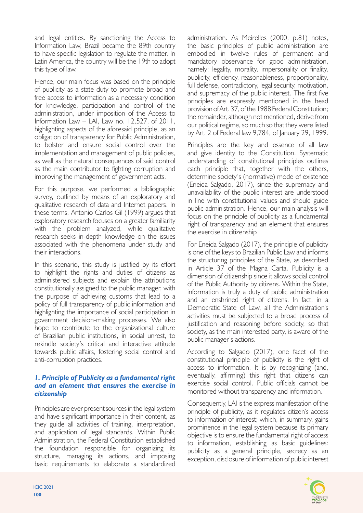and legal entities. By sanctioning the Access to Information Law, Brazil became the 89th country to have specific legislation to regulate the matter. In Latin America, the country will be the 19th to adopt this type of law.

Hence, our main focus was based on the principle of publicity as a state duty to promote broad and free access to information as a necessary condition for knowledge, participation and control of the administration, under imposition of the Access to Information Law – LAI, Law no. 12,527, of 2011, highlighting aspects of the aforesaid principle, as an obligation of transparency for Public Administration, to bolster and ensure social control over the implementation and management of public policies, as well as the natural consequences of said control as the main contributor to fighting corruption and improving the management of government acts.

For this purpose, we performed a bibliographic survey, outlined by means of an exploratory and qualitative research of data and Internet papers. In these terms, Antonio Carlos Gil (1999) argues that exploratory research focuses on a greater familiarity with the problem analyzed, while qualitative research seeks in-depth knowledge on the issues associated with the phenomena under study and their interactions.

In this scenario, this study is justified by its effort to highlight the rights and duties of citizens as administered subjects and explain the attributions constitutionally assigned to the public manager, with the purpose of achieving customs that lead to a policy of full transparency of public information and highlighting the importance of social participation in government decision-making processes. We also hope to contribute to the organizational culture of Brazilian public institutions, in social unrest, to rekindle society's critical and interactive attitude towards public affairs, fostering social control and anti-corruption practices.

#### *1. Principle of Publicity as a fundamental right and an element that ensures the exercise in citizenship*

Principles are ever present sources in the legal system and have significant importance in their content, as they guide all activities of training, interpretation, and application of legal standards. Within Public Administration, the Federal Constitution established the foundation responsible for organizing its structure, managing its actions, and imposing basic requirements to elaborate a standardized

administration. As Meirelles (2000, p.81) notes, the basic principles of public administration are embodied in twelve rules of permanent and mandatory observance for good administration, namely: legality, morality, impersonality or finality, publicity, efficiency, reasonableness, proportionality, full defense, contradictory, legal security, motivation, and supremacy of the public interest. The first five principles are expressly mentioned in the head provision of Art. 37, of the 1988 Federal Constitution; the remainder, although not mentioned, derive from our political regime, so much so that they were listed by Art. 2 of Federal law 9,784, of January 29, 1999.

Principles are the key and essence of all law and give identity to the Constitution. Systematic understanding of constitutional principles outlines each principle that, together with the others, determine society's (normative) mode of existence (Eneida Salgado, 2017), since the supremacy and unavailability of the public interest are understood in line with constitutional values and should guide public administration. Hence, our main analysis will focus on the principle of publicity as a fundamental right of transparency and an element that ensures the exercise in citizenship

For Eneida Salgado (2017), the principle of publicity is one of the keys to Brazilian Public Law and informs the structuring principles of the State, as described in Article 37 of the Magna Carta. Publicity is a dimension of citizenship since it allows social control of the Public Authority by citizens. Within the State, information is truly a duty of public administration and an enshrined right of citizens. In fact, in a Democratic State of Law, all the Administration's activities must be subjected to a broad process of justification and reasoning before society, so that society, as the main interested party, is aware of the public manager's actions.

According to Salgado (2017), one facet of the constitutional principle of publicity is the right of access to information. It is by recognizing (and, eventually, affirming) this right that citizens can exercise social control. Public officials cannot be monitored without transparency and information.

Consequently, LAI is the express manifestation of the principle of publicity, as it regulates citizen's access to information of interest; which, in summary, gains prominence in the legal system because its primary objective is to ensure the fundamental right of access to information, establishing as basic guidelines: publicity as a general principle, secrecy as an exception, disclosure of information of public interest

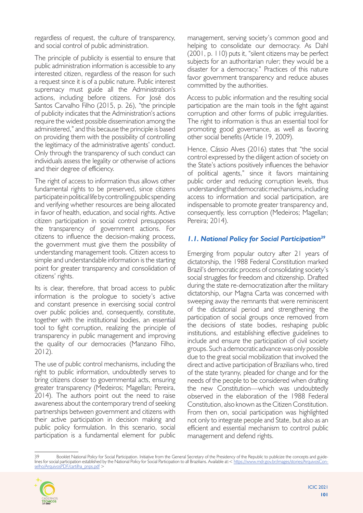regardless of request, the culture of transparency, and social control of public administration.

The principle of publicity is essential to ensure that public administration information is accessible to any interested citizen, regardless of the reason for such a request since it is of a public nature. Public interest supremacy must guide all the Administration's actions, including before citizens. For José dos Santos Carvalho Filho (2015, p. 26), "the principle of publicity indicates that the Administration's actions require the widest possible dissemination among the administered," and this because the principle is based on providing them with the possibility of controlling the legitimacy of the administrative agents' conduct. Only through the transparency of such conduct can individuals assess the legality or otherwise of actions and their degree of efficiency.

The right of access to information thus allows other fundamental rights to be preserved, since citizens participate in political life by controlling public spending and verifying whether resources are being allocated in favor of health, education, and social rights. Active citizen participation in social control presupposes the transparency of government actions. For citizens to influence the decision-making process, the government must give them the possibility of understanding management tools. Citizen access to simple and understandable information is the starting point for greater transparency and consolidation of citizens' rights.

Its is clear, therefore, that broad access to public information is the prologue to society's active and constant presence in exercising social control over public policies and, consequently, constitute, together with the institutional bodies, an essential tool to fight corruption, realizing the principle of transparency in public management and improving the quality of our democracies (Manzano Filho, 2012).

The use of public control mechanisms, including the right to public information, undoubtedly serves to bring citizens closer to governmental acts, ensuring greater transparency (Medeiros; Magellan; Pereira, 2014). The authors point out the need to raise awareness about the contemporary trend of seeking partnerships between government and citizens with their active participation in decision making and public policy formulation. In this scenario, social participation is a fundamental element for public

management, serving society's common good and helping to consolidate our democracy. As Dahl (2001, p. 110) puts it, "silent citizens may be perfect subjects for an authoritarian ruler; they would be a disaster for a democracy." Practices of this nature favor government transparency and reduce abuses committed by the authorities.

Access to public information and the resulting social participation are the main tools in the fight against corruption and other forms of public irregularities. The right to information is thus an essential tool for promoting good governance, as well as favoring other social benefits (Article 19, 2009).

Hence, Cássio Alves (2016) states that "the social control expressed by the diligent action of society on the State's actions positively influences the behavior of political agents," since it favors maintaining public order and reducing corruption levels, thus understanding that democratic mechanisms, including access to information and social participation, are indispensable to promote greater transparency and, consequently, less corruption (Medeiros; Magellan; Pereira; 2014).

### *1.1. National Policy for Social Participation39*

Emerging from popular outcry after 21 years of dictatorship, the 1988 Federal Constitution marked Brazil's democratic process of consolidating society's social struggles for freedom and citizenship. Drafted during the state re-democratization after the military dictatorship, our Magna Carta was concerned with sweeping away the remnants that were reminiscent of the dictatorial period and strengthening the participation of social groups once removed from the decisions of state bodies, reshaping public institutions, and establishing effective guidelines to include and ensure the participation of civil society groups. Such a democratic advance was only possible due to the great social mobilization that involved the direct and active participation of Brazilians who, tired of the state tyranny, pleaded for change and for the needs of the people to be considered when drafting the new Constitution—which was undoubtedly observed in the elaboration of the 1988 Federal Constitution, also known as the Citizen Constitution. From then on, social participation was highlighted not only to integrate people and State, but also as an efficient and essential mechanism to control public management and defend rights.

<sup>39</sup> Booklet National Policy for Social Participation. Initiative from the General Secretary of the Presidency of the Republic to publicize the concepts and guidelines for social participation established by the National Policy for Social Participation to all Brazilians. Available at:< [https://www.mdr.gov.br/images/stories/ArquivosCon](https://www.mdr.gov.br/images/stories/ArquivosConselho/ArquivosPDF/cartilha_pnps.pdf)[selho/ArquivosPDF/cartilha\\_pnps.pdf](https://www.mdr.gov.br/images/stories/ArquivosConselho/ArquivosPDF/cartilha_pnps.pdf) >

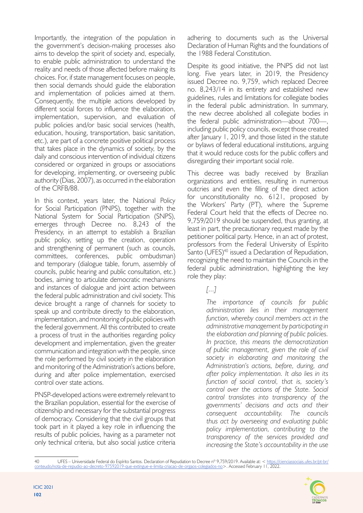Importantly, the integration of the population in the government's decision-making processes also aims to develop the spirit of society and, especially, to enable public administration to understand the reality and needs of those affected before making its choices. For, if state management focuses on people, then social demands should guide the elaboration and implementation of policies aimed at them. Consequently, the multiple actions developed by different social forces to influence the elaboration, implementation, supervision, and evaluation of public policies and/or basic social services (health, education, housing, transportation, basic sanitation, etc.), are part of a concrete positive political process that takes place in the dynamics of society, by the daily and conscious intervention of individual citizens considered or organized in groups or associations for developing, implementing, or overseeing public authority (Dias, 2007), as occurred in the elaboration of the CRFB/88.

In this context, years later, the National Policy for Social Participation (PNPS), together with the National System for Social Participation (SNPS), emerges through Decree no. 8,243 of the Presidency, in an attempt to establish a Brazilian public policy, setting up the creation, operation and strengthening of permanent (such as councils, committees, conferences, public ombudsman) and temporary (dialogue table, forum, assembly of councils, public hearing and public consultation, etc.) bodies, aiming to articulate democratic mechanisms and instances of dialogue and joint action between the federal public administration and civil society. This device brought a range of channels for society to speak up and contribute directly to the elaboration, implementation, and monitoring of public policies with the federal government. All this contributed to create a process of trust in the authorities regarding policy development and implementation, given the greater communication and integration with the people, since the role performed by civil society in the elaboration and monitoring of the Administration's actions before, during and after police implementation, exercised control over state actions.

PNSP-developed actions were extremely relevant to the Brazilian population, essential for the exercise of citizenship and necessary for the substantial progress of democracy. Considering that the civil groups that took part in it played a key role in influencing the results of public policies, having as a parameter not only technical criteria, but also social justice criteria

adhering to documents such as the Universal Declaration of Human Rights and the foundations of the 1988 Federal Constitution.

Despite its good initiative, the PNPS did not last long. Five years later, in 2019, the Presidency issued Decree no. 9,759, which replaced Decree no. 8,243/14 in its entirety and established new guidelines, rules and limitations for collegiate bodies in the federal public administration. In summary, the new decree abolished all collegiate bodies in the federal public administration—about 700—, including public policy councils, except those created after January 1, 2019, and those listed in the statute or bylaws of federal educational institutions, arguing that it would reduce costs for the public coffers and disregarding their important social role.

This decree was badly received by Brazilian organizations and entities, resulting in numerous outcries and even the filling of the direct action for unconstitutionality no. 6121, proposed by the Workers' Party (PT), where the Supreme Federal Court held that the effects of Decree no. 9,759/2019 should be suspended, thus granting, at least in part, the precautionary request made by the petitioner political party. Hence, in an act of protest, professors from the Federal University of Espírito Santo (UFES)<sup>40</sup> issued a Declaration of Repudiation, recognizing the need to maintain the Councils in the federal public administration, highlighting the key role they play:

*[...]*

*The importance of councils for public administration lies in their management function, whereby council members act in the administrative management by participating in the elaboration and planning of public policies. In practice, this means the democratization of public management, given the role of civil society in elaborating and monitoring the Administration's actions, before, during, and after policy implementation. It also lies in its function of social control, that is, society's control over the actions of the State. Social control translates into transparency of the governments' decisions and acts and their consequent accountability. The councils thus act by overseeing and evaluating public policy implementation, contributing to the transparency of the services provided and increasing the State's accountability in the use* 

UFES – Universidade Federal do Espírito Santos. Declaration of Repudiation to Decree nº 9,759/2019. Available at: < [https://cienciassociais.ufes.br/pt-br/](https://cienciassociais.ufes.br/pt-br/conteudo/nota-de-repudio-ao-decreto-97592019-que-extingue-e-limita-criacao-de-orgaos-colegiados-no) [conteudo/nota-de-repudio-ao-decreto-97592019-que-extingue-e-limita-criacao-de-orgaos-colegiados-no](https://cienciassociais.ufes.br/pt-br/conteudo/nota-de-repudio-ao-decreto-97592019-que-extingue-e-limita-criacao-de-orgaos-colegiados-no)>. Accessed February 11, 2022.

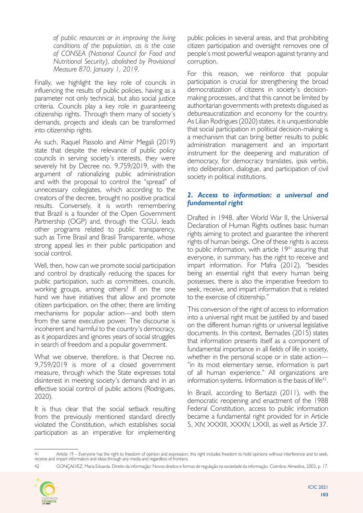*of public resources or in improving the living conditions of the population, as is the case of CONSEA (National Council for Food and Nutritional Security), abolished by Provisional Measure 870, January 1, 2019.*

Finally, we highlight the key role of councils in influencing the results of public policies, having as a parameter not only technical, but also social justice criteria. Councils play a key role in guaranteeing citizenship rights. Through them many of society's demands, projects and ideals can be transformed into citizenship rights.

As such, Raquel Passolo and Almir Megali (2019) state that despite the relevance of public policy councils in serving society's interests, they were severely hit by Decree no. 9,759/2019, with the argument of rationalizing public administration and with the proposal to control the "spread" of unnecessary collegiates, which according to the creators of the decree, brought no positive practical results. Conversely, it is worth remembering that Brazil is a founder of the Open Government Partnership (OGP) and, through the CGU, leads other programs related to public transparency, such as Time Brasil and Brasil Transparente, whose strong appeal lies in their public participation and social control.

Well, then, how can we promote social participation and control by drastically reducing the spaces for public participation, such as committees, councils, working groups, among others? If on the one hand we have initiatives that allow and promote citizen participation, on the other, there are limiting mechanisms for popular action—and both stem from the same executive power. The discourse is incoherent and harmful to the country's democracy, as it jeopardizes and ignores years of social struggles in search of freedom and a popular government.

What we observe, therefore, is that Decree no. 9,759/2019 is more of a closed government measure, through which the State expresses total disinterest in meeting society's demands and in an effective social control of public actions (Rodrigues, 2020).

It is thus clear that the social setback resulting from the previously mentioned standard directly violated the Constitution, which establishes social participation as an imperative for implementing

public policies in several areas, and that prohibiting citizen participation and oversight removes one of people's most powerful weapon against tyranny and corruption.

For this reason, we reinforce that popular participation is crucial for strengthening the broad democratization of citizens in society's decisionmaking processes, and that this cannot be limited by authoritarian governments with pretexts disguised as debureaucratization and economy for the country. As Lilian Rodrigues (2020) states, it is unquestionable that social participation in political decision-making is a mechanism that can bring better results to public administration management and an important instrument for the deepening and maturation of democracy, for democracy translates, ipsis verbis, into deliberation, dialogue, and participation of civil society in political institutions.

## *2. Access to information: a universal and fundamental right*

Drafted in 1948, after World War II, the Universal Declaration of Human Rights outlines basic human rights aiming to protect and guarantee the inherent rights of human beings. One of these rights is access to public information, with article 19<sup>41</sup> assuring that everyone, in summary, has the right to receive and impart information. For Mafra (2012), "besides being an essential right that every human being possesses, there is also the imperative freedom to seek, receive, and impart information that is related to the exercise of citizenship."

This conversion of the right of access to information into a universal right must be justified by and based on the different human rights or universal legislative documents. In this context, Bernades (2015) states that information presents itself as a component of fundamental importance in all fields of life in society, whether in the personal scope or in state action— "in its most elementary sense, information is part of all human experience." All organizations are information systems. Information is the basis of life<sup>42</sup>.

In Brazil, according to Bertazzi (2011), with the democratic reopening and enactment of the 1988 Federal Constitution, access to public information became a fundamental right provided for in Article 5, XIV, XXXIII, XXXIV, LXXII, as well as Article 37.

<sup>42</sup> GONÇALVEZ, Maria Eduarda. Direito da informação: Novos direitos e formas de regulação na sociedade da informação. Coimbra: Almedina, 2003, p. 17.



<sup>41</sup> Article 19 – Everyone has the right to freedom of opinion and expression; this right includes freedom to hold opinions without interference and to seek, receive and impart information and ideas through any media and regardless of frontiers.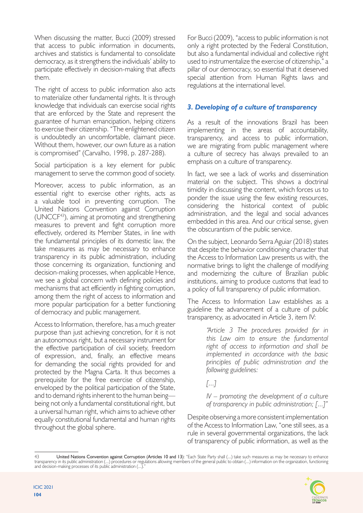When discussing the matter, Bucci (2009) stressed that access to public information in documents, archives and statistics is fundamental to consolidate democracy, as it strengthens the individuals' ability to participate effectively in decision-making that affects them.

The right of access to public information also acts to materialize other fundamental rights. It is through knowledge that individuals can exercise social rights that are enforced by the State and represent the guarantee of human emancipation, helping citizens to exercise their citizenship. "The enlightened citizen is undoubtedly an uncomfortable, claimant piece. Without them, however, our own future as a nation is compromised" (Carvalho, 1998, p. 287-288).

Social participation is a key element for public management to serve the common good of society.

Moreover, access to public information, as an essential right to exercise other rights, acts as a valuable tool in preventing corruption. The United Nations Convention against Corruption (UNCCF43), aiming at promoting and strengthening measures to prevent and fight corruption more effectively, ordered its Member States, in line with the fundamental principles of its domestic law, the take measures as may be necessary to enhance transparency in its public administration, including those concerning its organization, functioning and decision-making processes, when applicable Hence, we see a global concern with defining policies and mechanisms that act efficiently in fighting corruption, among them the right of access to information and more popular participation for a better functioning of democracy and public management.

Access to Information, therefore, has a much greater purpose than just achieving concretion, for it is not an autonomous right, but a necessary instrument for the effective participation of civil society, freedom of expression, and, finally, an effective means for demanding the social rights provided for and protected by the Magna Carta. It thus becomes a prerequisite for the free exercise of citizenship, enveloped by the political participation of the State, and to demand rights inherent to the human being being not only a fundamental constitutional right, but a universal human right, which aims to achieve other equally constitutional fundamental and human rights throughout the global sphere.

For Bucci (2009), "access to public information is not only a right protected by the Federal Constitution, but also a fundamental individual and collective right used to instrumentalize the exercise of citizenship," a pillar of our democracy, so essential that it deserved special attention from Human Rights laws and regulations at the international level.

# *3. Developing of a culture of transparency*

As a result of the innovations Brazil has been implementing in the areas of accountability, transparency, and access to public information, we are migrating from public management where a culture of secrecy has always prevailed to an emphasis on a culture of transparency.

In fact, we see a lack of works and dissemination material on the subject. This shows a doctrinal timidity in discussing the content, which forces us to ponder the issue using the few existing resources, considering the historical context of public administration, and the legal and social advances embedded in this area. And our critical sense, given the obscurantism of the public service.

On the subject, Leonardo Serra Aguiar (2018) states that despite the behavior conditioning character that the Access to Information Law presents us with, the normative brings to light the challenge of modifying and modernizing the culture of Brazilian public institutions, aiming to produce customs that lead to a policy of full transparency of public information.

The Access to Information Law establishes as a guideline the advancement of a culture of public transparency, as advocated in Article 3, item IV:

> *"Article 3 The procedures provided for in this Law aim to ensure the fundamental right of access to information and shall be implemented in accordance with the basic principles of public administration and the following guidelines:*

*[...]*

*IV – promoting the development of a culture of transparency in public administration; [...]"*

Despite observing a more consistent implementation of the Access to Information Law, "one still sees, as a rule in several governmental organizations, the lack of transparency of public information, as well as the

<sup>43</sup> **United Nations Convention against Corruption (Articles 10 and 13**): "Each State Party shall (...) take such measures as may be necessary to enhance transparency in its public administration (...) procedures or regulations allowing members of the general public to obtain (...) information on the organization, functioning and decision-making processes of its public administration (...)

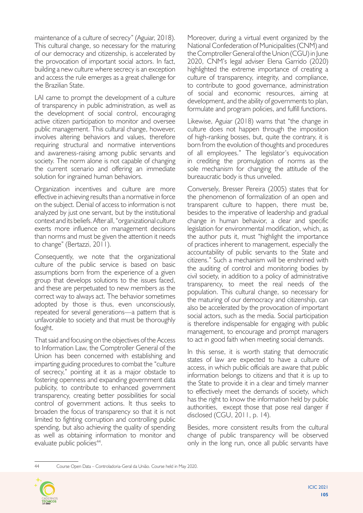maintenance of a culture of secrecy" (Aguiar, 2018). This cultural change, so necessary for the maturing of our democracy and citizenship, is accelerated by the provocation of important social actors. In fact, building a new culture where secrecy is an exception and access the rule emerges as a great challenge for the Brazilian State.

LAI came to prompt the development of a culture of transparency in public administration, as well as the development of social control, encouraging active citizen participation to monitor and oversee public management. This cultural change, however, involves altering behaviors and values, therefore requiring structural and normative interventions and awareness-raising among public servants and society. The norm alone is not capable of changing the current scenario and offering an immediate solution for ingrained human behaviors.

Organization incentives and culture are more effective in achieving results than a normative in force on the subject. Denial of access to information is not analyzed by just one servant, but by the institutional context and its beliefs. After all, "organizational culture exerts more influence on management decisions than norms and must be given the attention it needs to change" (Bertazzi, 2011).

Consequently, we note that the organizational culture of the public service is based on basic assumptions born from the experience of a given group that develops solutions to the issues faced, and these are perpetuated to new members as the correct way to always act. The behavior sometimes adopted by those is thus, even unconsciously, repeated for several generations—a pattern that is unfavorable to society and that must be thoroughly fought.

That said and focusing on the objectives of the Access to Information Law, the Comptroller General of the Union has been concerned with establishing and imparting guiding procedures to combat the "culture of secrecy," pointing at it as a major obstacle to fostering openness and expanding government data publicity, to contribute to enhanced government transparency, creating better possibilities for social control of government actions. It thus seeks to broaden the focus of transparency so that it is not limited to fighting corruption and controlling public spending, but also achieving the quality of spending as well as obtaining information to monitor and evaluate public policies<sup>44</sup>.

Moreover, during a virtual event organized by the National Confederation of Municipalities (CNM) and the Comptroller General of the Union (CGU) in June 2020, CNM's legal adviser Elena Garrido (2020) highlighted the extreme importance of creating a culture of transparency, integrity, and compliance, to contribute to good governance, administration of social and economic resources, aiming at development, and the ability of governments to plan, formulate and program policies, and fulfill functions.

Likewise, Aguiar (2018) warns that "the change in culture does not happen through the imposition of high-ranking bosses, but, quite the contrary, it is born from the evolution of thoughts and procedures of all employees." The legislator's equivocation in crediting the promulgation of norms as the sole mechanism for changing the attitude of the bureaucratic body is thus unveiled.

Conversely, Bresser Pereira (2005) states that for the phenomenon of formalization of an open and transparent culture to happen, there must be, besides to the imperative of leadership and gradual change in human behavior, a clear and specific legislation for environmental modification, which, as the author puts it, must "highlight the importance of practices inherent to management, especially the accountability of public servants to the State and citizens." Such a mechanism will be enshrined with the auditing of control and monitoring bodies by civil society, in addition to a policy of administrative transparency, to meet the real needs of the population. This cultural change, so necessary for the maturing of our democracy and citizenship, can also be accelerated by the provocation of important social actors, such as the media. Social participation is therefore indispensable for engaging with public management, to encourage and prompt managers to act in good faith when meeting social demands.

In this sense, it is worth stating that democratic states of law are expected to have a culture of access, in which public officials are aware that public information belongs to citizens and that it is up to the State to provide it in a clear and timely manner to effectively meet the demands of society, which has the right to know the information held by public authorities, except those that pose real danger if disclosed (CGU, 2011, p. 14).

Besides, more consistent results from the cultural change of public transparency will be observed only in the long run, once all public servants have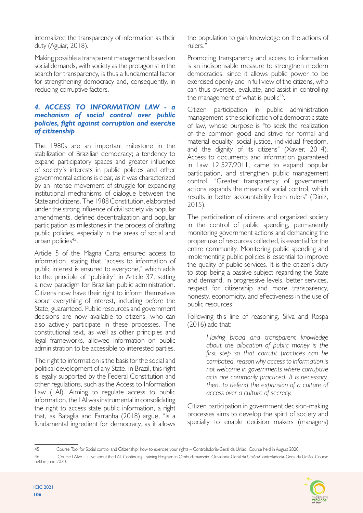internalized the transparency of information as their duty (Aguiar, 2018).

Making possible a transparent management based on social demands, with society as the protagonist in the search for transparency, is thus a fundamental factor for strengthening democracy and, consequently, in reducing corruptive factors.

#### *4. ACCESS TO INFORMATION LAW - a mechanism of social control over public policies, fight against corruption and exercise of citizenship*

The 1980s are an important milestone in the stabilization of Brazilian democracy; a tendency to expand participatory spaces and greater influence of society's interests in public policies and other governmental actions is clear, as it was characterized by an intense movement of struggle for expanding institutional mechanisms of dialogue between the State and citizens. The 1988 Constitution, elaborated under the strong influence of civil society via popular amendments, defined decentralization and popular participation as milestones in the process of drafting public policies, especially in the areas of social and urban policies<sup>45</sup>.

Article 5 of the Magna Carta ensured access to information, stating that "access to information of public interest is ensured to everyone," which adds to the principle of "publicity" in Article 37, setting a new paradigm for Brazilian public administration. Citizens now have their right to inform themselves about everything of interest, including before the State, guaranteed. Public resources and government decisions are now available to citizens, who can also actively participate in these processes. The constitutional text, as well as other principles and legal frameworks, allowed information on public administration to be accessible to interested parties.

The right to information is the basis for the social and political development of any State. In Brazil, this right is legally supported by the Federal Constitution and other regulations, such as the Access to Information Law (LAI). Aiming to regulate access to public information, the LAI was instrumental in consolidating the right to access state public information, a right that, as Bataglia and Farranha (2018) argue, "is a fundamental ingredient for democracy, as it allows

the population to gain knowledge on the actions of rulers."

Promoting transparency and access to information is an indispensable measure to strengthen modern democracies, since it allows public power to be exercised openly and in full view of the citizens, who can thus oversee, evaluate, and assist in controlling the management of what is public<sup>46</sup>.

Citizen participation in public administration management is the solidification of a democratic state of law, whose purpose is "to seek the realization of the common good and strive for formal and material equality, social justice, individual freedom, and the dignity of its citizens" (Xavier, 2014). Access to documents and information guaranteed in Law 12,527/2011, came to expand popular participation, and strengthen public management control. "Greater transparency of government actions expands the means of social control, which results in better accountability from rulers" (Diniz, 2015).

The participation of citizens and organized society in the control of public spending, permanently monitoring government actions and demanding the proper use of resources collected, is essential for the entire community. Monitoring public spending and implementing public policies is essential to improve the quality of public services. It is the citizen's duty to stop being a passive subject regarding the State and demand, in progressive levels, better services, respect for citizenship and more transparency, honesty, economicity, and effectiveness in the use of public resources.

Following this line of reasoning, Silva and Rospa (2016) add that:

> *Having broad and transparent knowledge about the allocation of public money is the first step so that corrupt practices can be combated, reason why access to information is not welcome in governments where corruptive acts are commonly practiced. It is necessary, then, to defend the expansion of a culture of access over a culture of secrecy.*

Citizen participation in government decision-making processes aims to develop the spirit of society and specially to enable decision makers (managers)

<sup>46</sup> Course LAIve – a live about the LAI. Continuing Training Program in Ombudsmanship. Ouvidoria-Geral da União/Controladoria-Geral da União. Course held in June 2020.



<sup>45</sup> Course Tool for Social control and Citizenship: how to exercise your rights – Controladoria-Geral da União. Course held in August 2020.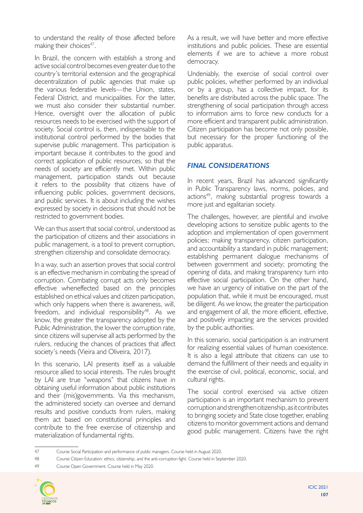to understand the reality of those affected before making their choices<sup>47</sup>.

In Brazil, the concern with establish a strong and active social control becomes even greater due to the country's territorial extension and the geographical decentralization of public agencies that make up the various federative levels—the Union, states, Federal District, and municipalities. For the latter, we must also consider their substantial number. Hence, oversight over the allocation of public resources needs to be exercised with the support of society. Social control is, then, indispensable to the institutional control performed by the bodies that supervise public management. This participation is important because it contributes to the good and correct application of public resources, so that the needs of society are efficiently met. Within public management, participation stands out because it refers to the possibility that citizens have of influencing public policies, government decisions, and public services. It is about including the wishes expressed by society in decisions that should not be restricted to government bodies.

We can thus assert that social control, understood as the participation of citizens and their associations in public management, is a tool to prevent corruption, strengthen citizenship and consolidate democracy.

In a way, such an assertion proves that social control is an effective mechanism in combating the spread of corruption. Combating corrupt acts only becomes effective wheneffected based on the principles established on ethical values and citizen participation, which only happens when there is awareness, will, freedom, and individual responsibility<sup>48</sup>. As we know, the greater the transparency adopted by the Public Administration, the lower the corruption rate, since citizens will supervise all acts performed by the rulers, reducing the chances of practices that affect society's needs (Vieira and Oliveira, 2017).

In this scenario, LAI presents itself as a valuable resource allied to social interests. The rules brought by LAI are true "weapons" that citizens have in obtaining useful information about public institutions and their (mis)governments. Via this mechanism, the administered society can oversee and demand results and positive conducts from rulers, making them act based on constitutional principles and contribute to the free exercise of citizenship and materialization of fundamental rights.

As a result, we will have better and more effective institutions and public policies. These are essential elements if we are to achieve a more robust democracy.

Undeniably, the exercise of social control over public policies, whether performed by an individual or by a group, has a collective impact, for its benefits are distributed across the public space. The strengthening of social participation through access to information aims to force new conducts for a more efficient and transparent public administration. Citizen participation has become not only possible, but necessary for the proper functioning of the public apparatus.

## *FINAL CONSIDERATIONS*

In recent years, Brazil has advanced significantly in Public Transparency laws, norms, policies, and actions<sup>49</sup>, making substantial progress towards a more just and egalitarian society.

The challenges, however, are plentiful and involve developing actions to sensitize public agents to the adoption and implementation of open government policies; making transparency, citizen participation, and accountability a standard in public management; establishing permanent dialogue mechanisms of between government and society; promoting the opening of data, and making transparency turn into effective social participation. On the other hand, we have an urgency of initiative on the part of the population that, while it must be encouraged, must be diligent. As we know, the greater the participation and engagement of all, the more efficient, effective, and positively impacting are the services provided by the public authorities.

In this scenario, social participation is an instrument for realizing essential values of human coexistence. It is also a legal attribute that citizens can use to demand the fulfillment of their needs and equality in the exercise of civil, political, economic, social, and cultural rights.

The social control exercised via active citizen participation is an important mechanism to prevent corruption and strengthen citizenship, as it contributes to bringing society and State close together, enabling citizens to monitor government actions and demand good public management. Citizens have the right

<sup>49</sup> Course Open Government. Course held in May 2020.



<sup>47</sup> Course Social Participation and performance of public managers. Course held in August 2020.

<sup>48</sup> Course Citizen Education: ethics, citizenship, and the anti-corruption fight. Course held in September 2020.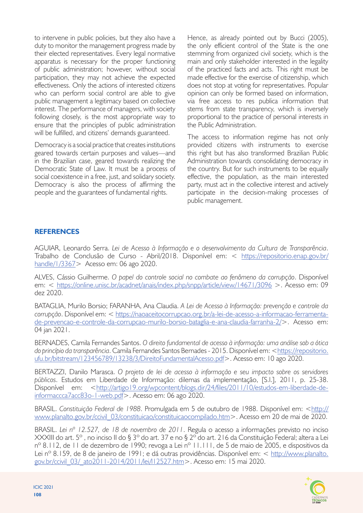to intervene in public policies, but they also have a duty to monitor the management progress made by their elected representatives. Every legal normative apparatus is necessary for the proper functioning of public administration; however, without social participation, they may not achieve the expected effectiveness. Only the actions of interested citizens who can perform social control are able to give public management a legitimacy based on collective interest. The performance of managers, with society following closely, is the most appropriate way to ensure that the principles of public administration will be fulfilled, and citizens' demands guaranteed.

Democracy is a social practice that creates institutions geared towards certain purposes and values—and in the Brazilian case, geared towards realizing the Democratic State of Law. It must be a process of social coexistence in a free, just, and solidary society. Democracy is also the process of affirming the people and the guarantees of fundamental rights.

Hence, as already pointed out by Bucci (2005), the only efficient control of the State is the one stemming from organized civil society, which is the main and only stakeholder interested in the legality of the practiced facts and acts. This right must be made effective for the exercise of citizenship, which does not stop at voting for representatives. Popular opinion can only be formed based on information, via free access to res publica information that stems from state transparency, which is inversely proportional to the practice of personal interests in the Public Administration.

The access to information regime has not only provided citizens with instruments to exercise this right but has also transformed Brazilian Public Administration towards consolidating democracy in the country. But for such instruments to be equally effective, the population, as the main interested party, must act in the collective interest and actively participate in the decision-making processes of public management.

### **REFERENCES**

AGUIAR, Leonardo Serra. *Lei de Acesso à Informação e o desenvolvimento da Cultura de Transparência*. Trabalho de Conclusão de Curso - Abril/2018. Disponível em: < [https://repositorio.enap.gov.br/](https://repositorio.enap.gov.br/handle/1/3367) [handle/1/3367](https://repositorio.enap.gov.br/handle/1/3367)> Acesso em: 06 ago 2020.

ALVES, Cássio Guilherme. *O papel do controle social no combate ao fenômeno da corrupção*. Disponível em: < <https://online.unisc.br/acadnet/anais/index.php/snpp/article/view/14671/3096> >. Acesso em: 09 dez 2020.

BATAGLIA, Murilo Borsio; FARANHA, Ana Claudia. *A Lei de Acesso à Informação: prevenção e controle da corrupção*. Disponível em: < [https://naoaceitocorrupcao.org.br/a-lei-de-acesso-a-informacao-ferramenta](https://naoaceitocorrupcao.org.br/a-lei-de-acesso-a-informacao-ferramenta-de-prevencao-e-controle-da-corrupcao-murilo-borsio-bataglia-e-ana-claudia-farranha-2/)[de-prevencao-e-controle-da-corrupcao-murilo-borsio-bataglia-e-ana-claudia-farranha-2/>](https://naoaceitocorrupcao.org.br/a-lei-de-acesso-a-informacao-ferramenta-de-prevencao-e-controle-da-corrupcao-murilo-borsio-bataglia-e-ana-claudia-farranha-2/). Acesso em: 04 jan 2021.

BERNADES, Camila Fernandes Santos. *O direito fundamental de acesso à informação: uma análise sob a ótica do princípio da transparência*. Camila Fernandes Santos Bernades - 2015. Disponível em: [<https://repositorio.](https://repositorio.ufu.br/bitstream/123456789/13238/3/DireitoFundamentalAcesso.pdf) [ufu.br/bitstream/123456789/13238/3/DireitoFundamentalAcesso.pdf](https://repositorio.ufu.br/bitstream/123456789/13238/3/DireitoFundamentalAcesso.pdf)>. Acesso em: 10 ago 2020.

BERTAZZI, Danilo Marasca. *O projeto de lei de acesso à informação e seu impacto sobre os servidores públicos*. Estudos em Liberdade de Informação: dilemas da implementação, [S.l.], 2011, p. 25-38. Disponível em: [<http://artigo19.org/wpcontent/blogs.dir/24/files/2011/10/estudos-em-liberdade-de](http://artigo19.org/wpcontent/blogs.dir/24/files/2011/10/estudos-em-liberdade-de-informaccca7acc83o-1-web.pdf)[informaccca7acc83o-1-web.pdf](http://artigo19.org/wpcontent/blogs.dir/24/files/2011/10/estudos-em-liberdade-de-informaccca7acc83o-1-web.pdf)>. Acesso em: 06 ago 2020.

BRASIL. *Constituição Federal de 1988*. Promulgada em 5 de outubro de 1988. Disponível em: <[http://](http://www.planalto.gov.br/ccivil_03/constituicao/constituicaocompilado.htm) www.planalto.gov.br/ccivil 03/constituicao/constituicaocompilado.htm>. Acesso em 20 de mai de 2020.

BRASIL. *Lei nº 12.527, de 18 de novembro de 2011*. Regula o acesso a informações previsto no inciso XXXIII do art. 5º , no inciso II do § 3º do art. 37 e no § 2º do art. 216 da Constituição Federal; altera a Lei nº 8.112, de 11 de dezembro de 1990; revoga a Lei nº 11.111, de 5 de maio de 2005, e dispositivos da Lei nº 8.159, de 8 de janeiro de 1991; e dá outras providências. Disponível em: < [http://www.planalto.](http://www.planalto.gov.br/ccivil_03/_ato2011-2014/2011/lei/l12527.htm) [gov.br/ccivil\\_03/\\_ato2011-2014/2011/lei/l12527.htm>](http://www.planalto.gov.br/ccivil_03/_ato2011-2014/2011/lei/l12527.htm). Acesso em: 15 mai 2020.

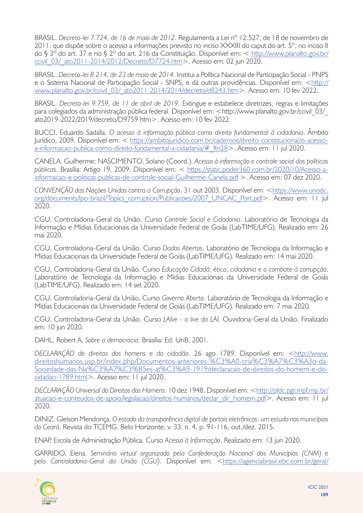BRASIL. *Decreto-lei 7.724, de 16 de maio de 2012*. Regulamenta a Lei nº 12.527, de 18 de novembro de 2011, que dispõe sobre o acesso a informações previsto no inciso XXXIII do caput do art. 5º, no inciso II do § 3º do art. 37 e no § 2º do art. 216 da Constituição. Disponível em: < [http://www.planalto.gov.br/](http://www.planalto.gov.br/ccivil_03/_ato2011-2014/2012/Decreto/D7724.htm) ccivil 03/ ato2011-2014/2012/Decreto/D7724.htm>. Acesso em: 02 jun 2020.

BRASIL. *Decreto-lei 8.214, de 23 de maio de 2014*. Institui a Política Nacional de Participação Social - PNPS e o Sistema Nacional de Participação Social - SNPS, e dá outras providências. Disponível em: <[http://](http://www.planalto.gov.br/ccivil_03/_ato2011-2014/2014/decreto/d8243.htm) [www.planalto.gov.br/ccivil\\_03/\\_ato2011-2014/2014/decreto/d8243.htm>](http://www.planalto.gov.br/ccivil_03/_ato2011-2014/2014/decreto/d8243.htm). Acesso em: 10 fev 2022.

BRASIL. *Decreto-lei 9.759, de 11 de abril de 2019*. Extingue e estabelece diretrizes, regras e limitações para colegiados da administração pública federal. Disponível em: <http://www.planalto.gov.br/ccivil\_03/\_ ato2019-2022/2019/decreto/D9759.htm>. Acesso em: 10 fev 2022.

BUCCI, Eduardo Sadalla. *O acesso à informação pública como direito fundamental à cidadania*. Âmbito Jurídico, 2009. Disponível em: < [https://ambitojuridico.com.br/cadernos/direito-constitucional/o-acesso](https://ambitojuridico.com.br/cadernos/direito-constitucional/o-acesso-a-informacao-publica-como-direito-fundamental-a-cidadania/#_ftn28)[a-informacao-publica-como-direito-fundamental-a-cidadania/#\\_ftn28>](https://ambitojuridico.com.br/cadernos/direito-constitucional/o-acesso-a-informacao-publica-como-direito-fundamental-a-cidadania/#_ftn28). Acesso em: 11 jul 2020.

CANELA, Guilherme; NASCIMENTO, Solano (Coord.). *Acesso à informação e controle social das políticas públicas*. Brasília: Artigo 19, 2009. Disponível em: < [https://static.poder360.com.br/2020/10/Acesso-a](https://static.poder360.com.br/2020/10/Acesso-a-informacao-e-politicas-publicas-de-controle-social-Guilherme-Canela.pdf)[informacao-e-politicas-publicas-de-controle-social-Guilherme-Canela.pdf](https://static.poder360.com.br/2020/10/Acesso-a-informacao-e-politicas-publicas-de-controle-social-Guilherme-Canela.pdf) >. Acesso em: 07 dez 2020.

*CONVENÇÃO das Nações Unidas contra a Corrupção*. 31 out 2003. Disponível em: [<https://www.unodc.](https://www.unodc.org/documents/lpo-brazil/Topics_corruption/Publicacoes/2007_UNCAC_Port.pdf) [org/documents/lpo-brazil/Topics\\_corruption/Publicacoes/2007\\_UNCAC\\_Port.pdf](https://www.unodc.org/documents/lpo-brazil/Topics_corruption/Publicacoes/2007_UNCAC_Port.pdf)>. Acesso em: 11 jul 2020.

CGU, Controladoria-Geral da União. Curso *Controle Social e Cidadania*. Laboratório de Tecnologia da Informação e Mídias Educacionais da Universidade Federal de Goiás (LabTIME/UFG). Realizado em: 26 mai 2020.

CGU, Controladoria-Geral da União. Curso *Dados Abertos*. Laboratório de Tecnologia da Informação e Mídias Educacionais da Universidade Federal de Goiás (LabTIME/UFG). Realizado em: 14 mai 2020.

CGU, Controladoria-Geral da União. Curso *Educação Cidadã: ética, cidadania e o combate à corrupção*. Laboratório de Tecnologia da Informação e Mídias Educacionais da Universidade Federal de Goiás (LabTIME/UFG). Realizado em: 14 set 2020.

CGU, Controladoria-Geral da União. Curso *Governo Aberto*. Laboratório de Tecnologia da Informação e Mídias Educacionais da Universidade Federal de Goiás (LabTIME/UFG). Realizado em: 7 mai 2020.

CGU, Controladoria-Geral da União. Curso *LAIve - a live da LAI*. Ouvidoria-Geral da União. Finalizado em: 10 jun 2020.

DAHL, Robert A. *Sobre a democracia*. Brasília: Ed. UnB, 2001.

*DECLARAÇÃO de direitos dos homens e do cidadão*. 26 ago 1789. Disponível em: <[http://www.](http://www.direitoshumanos.usp.br/index.php/Documentos-anteriores-%C3%A0-cria%C3%A7%C3%A3o-da-Sociedade-das-Na%C3%A7%C3%B5es-at%C3%A9-1919/declaracao-de-direitos-do-homem-e-do-cidadao-1789.html) [direitoshumanos.usp.br/index.php/Documentos-anteriores-%C3%A0-cria%C3%A7%C3%A3o-da-](http://www.direitoshumanos.usp.br/index.php/Documentos-anteriores-%C3%A0-cria%C3%A7%C3%A3o-da-Sociedade-das-Na%C3%A7%C3%B5es-at%C3%A9-1919/declaracao-de-direitos-do-homem-e-do-cidadao-1789.html)[Sociedade-das-Na%C3%A7%C3%B5es-at%C3%A9-1919/declaracao-de-direitos-do-homem-e-do](http://www.direitoshumanos.usp.br/index.php/Documentos-anteriores-%C3%A0-cria%C3%A7%C3%A3o-da-Sociedade-das-Na%C3%A7%C3%B5es-at%C3%A9-1919/declaracao-de-direitos-do-homem-e-do-cidadao-1789.html)[cidadao-1789.html>](http://www.direitoshumanos.usp.br/index.php/Documentos-anteriores-%C3%A0-cria%C3%A7%C3%A3o-da-Sociedade-das-Na%C3%A7%C3%B5es-at%C3%A9-1919/declaracao-de-direitos-do-homem-e-do-cidadao-1789.html). Acesso em: 11 jul 2020.

*DECLARAÇÃO Universal do Direitos dos Homens*. 10 dez 1948. Disponível em: [<http://pfdc.pgr.mpf.mp.br/](http://pfdc.pgr.mpf.mp.br/atuacao-e-conteudos-de-apoio/legislacao/direitos-humanos/declar_dir_homem.pdf) [atuacao-e-conteudos-de-apoio/legislacao/direitos-humanos/declar\\_dir\\_homem.pdf](http://pfdc.pgr.mpf.mp.br/atuacao-e-conteudos-de-apoio/legislacao/direitos-humanos/declar_dir_homem.pdf)>. Acesso em: 11 jul 2020.

DINIZ, Gleison Mendonça. *O estado da transparência digital de portais eletrônicos: um estudo nos municípios do Ceará*. Revista do TCEMG. Belo Horizonte, v. 33, n. 4, p. 91-116, out./dez. 2015.

ENAP, Escola de Administração Pública. Curso *Acesso à Informação*. Realizado em: 13 jun 2020.

GARRIDO, Elena. *Seminário virtual organizado pela Confederação Nacional dos Municípios (CNM) e pela Controladoria-Geral da União (CGU)*. Disponível em: <[https://agenciabrasil.ebc.com.br/geral/](https://agenciabrasil.ebc.com.br/geral/noticia/2020-06/municipios-e-cgu-destacam-transparencia-para-boa-governanca)